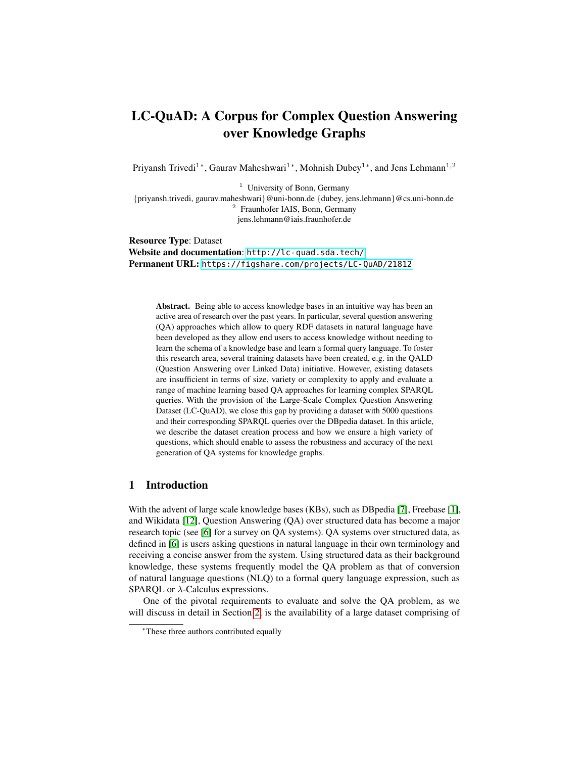# <span id="page-0-0"></span>LC-QuAD: A Corpus for Complex Question Answering over Knowledge Graphs

Priyansh Trivedi<sup>1</sup>\*, Gaurav Maheshwari<sup>1</sup>\*, Mohnish Dubey<sup>1</sup>\*, and Jens Lehmann<sup>1,2</sup>

<sup>1</sup> University of Bonn, Germany {priyansh.trivedi, gaurav.maheshwari}@uni-bonn.de {dubey, jens.lehmann}@cs.uni-bonn.de <sup>2</sup> Fraunhofer IAIS, Bonn, Germany jens.lehmann@iais.fraunhofer.de

Resource Type: Dataset Website and documentation: <http://lc-quad.sda.tech/> Permanent URL: <https://figshare.com/projects/LC-QuAD/21812>

Abstract. Being able to access knowledge bases in an intuitive way has been an active area of research over the past years. In particular, several question answering (QA) approaches which allow to query RDF datasets in natural language have been developed as they allow end users to access knowledge without needing to learn the schema of a knowledge base and learn a formal query language. To foster this research area, several training datasets have been created, e.g. in the QALD (Question Answering over Linked Data) initiative. However, existing datasets are insufficient in terms of size, variety or complexity to apply and evaluate a range of machine learning based QA approaches for learning complex SPARQL queries. With the provision of the Large-Scale Complex Question Answering Dataset (LC-QuAD), we close this gap by providing a dataset with 5000 questions and their corresponding SPARQL queries over the DBpedia dataset. In this article, we describe the dataset creation process and how we ensure a high variety of questions, which should enable to assess the robustness and accuracy of the next generation of QA systems for knowledge graphs.

# 1 Introduction

With the advent of large scale knowledge bases (KBs), such as DBpedia [\[7\]](#page-7-0), Freebase [\[1\]](#page-7-1), and Wikidata [\[12\]](#page-7-2), Question Answering (QA) over structured data has become a major research topic (see [\[6\]](#page-7-3) for a survey on QA systems). QA systems over structured data, as defined in [\[6\]](#page-7-3) is users asking questions in natural language in their own terminology and receiving a concise answer from the system. Using structured data as their background knowledge, these systems frequently model the QA problem as that of conversion of natural language questions (NLQ) to a formal query language expression, such as SPARQL or  $\lambda$ -Calculus expressions.

One of the pivotal requirements to evaluate and solve the QA problem, as we will discuss in detail in Section [2,](#page-1-0) is the availability of a large dataset comprising of

<sup>∗</sup>These three authors contributed equally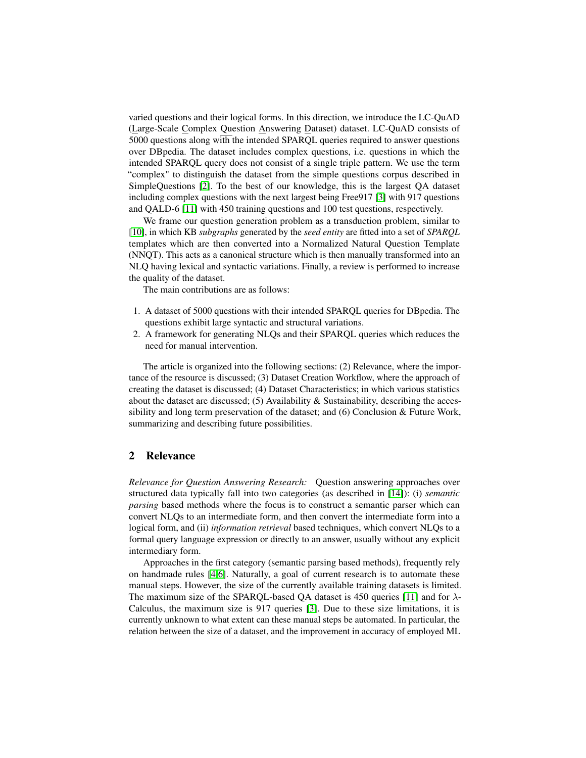varied questions and their logical forms. In this direction, we introduce the LC-QuAD (Large-Scale Complex Question Answering Dataset) dataset. LC-QuAD consists of 5000 questions along with the intended SPARQL queries required to answer questions over DBpedia. The dataset includes complex questions, i.e. questions in which the intended SPARQL query does not consist of a single triple pattern. We use the term "complex" to distinguish the dataset from the simple questions corpus described in SimpleQuestions [\[2\]](#page-7-4). To the best of our knowledge, this is the largest QA dataset including complex questions with the next largest being Free917 [\[3\]](#page-7-5) with 917 questions and QALD-6 [\[11\]](#page-7-6) with 450 training questions and 100 test questions, respectively.

We frame our question generation problem as a transduction problem, similar to [\[10\]](#page-7-7), in which KB *subgraphs* generated by the *seed entity* are fitted into a set of *SPARQL* templates which are then converted into a Normalized Natural Question Template (NNQT). This acts as a canonical structure which is then manually transformed into an NLQ having lexical and syntactic variations. Finally, a review is performed to increase the quality of the dataset.

The main contributions are as follows:

- 1. A dataset of 5000 questions with their intended SPARQL queries for DBpedia. The questions exhibit large syntactic and structural variations.
- 2. A framework for generating NLQs and their SPARQL queries which reduces the need for manual intervention.

The article is organized into the following sections: (2) Relevance, where the importance of the resource is discussed; (3) Dataset Creation Workflow, where the approach of creating the dataset is discussed; (4) Dataset Characteristics; in which various statistics about the dataset are discussed; (5) Availability  $\&$  Sustainability, describing the accessibility and long term preservation of the dataset; and (6) Conclusion & Future Work, summarizing and describing future possibilities.

### <span id="page-1-0"></span>2 Relevance

*Relevance for Question Answering Research:* Question answering approaches over structured data typically fall into two categories (as described in [\[14\]](#page-7-8)): (i) *semantic parsing* based methods where the focus is to construct a semantic parser which can convert NLQs to an intermediate form, and then convert the intermediate form into a logical form, and (ii) *information retrieval* based techniques, which convert NLQs to a formal query language expression or directly to an answer, usually without any explicit intermediary form.

Approaches in the first category (semantic parsing based methods), frequently rely on handmade rules [\[4](#page-7-9)[,6\]](#page-7-3). Naturally, a goal of current research is to automate these manual steps. However, the size of the currently available training datasets is limited. The maximum size of the SPARQL-based QA dataset is 450 queries [\[11\]](#page-7-6) and for  $\lambda$ -Calculus, the maximum size is 917 queries [\[3\]](#page-7-5). Due to these size limitations, it is currently unknown to what extent can these manual steps be automated. In particular, the relation between the size of a dataset, and the improvement in accuracy of employed ML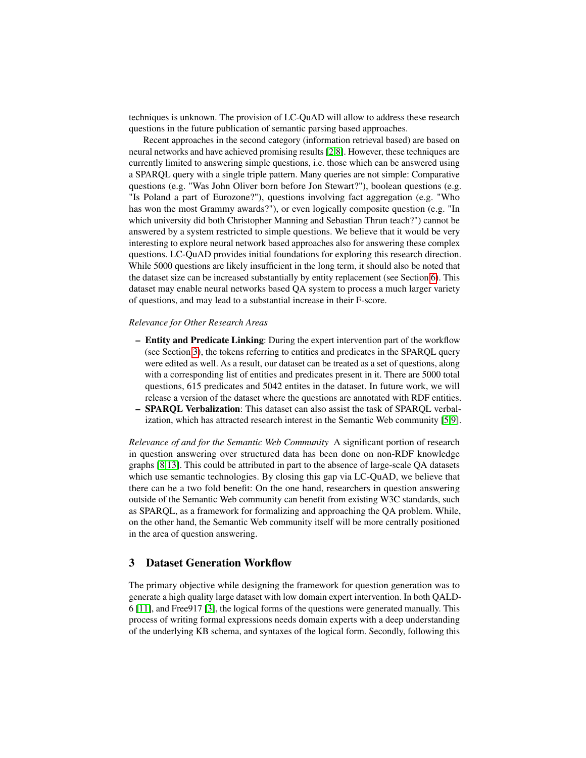techniques is unknown. The provision of LC-QuAD will allow to address these research questions in the future publication of semantic parsing based approaches.

Recent approaches in the second category (information retrieval based) are based on neural networks and have achieved promising results [\[2,](#page-7-4)[8\]](#page-7-10). However, these techniques are currently limited to answering simple questions, i.e. those which can be answered using a SPARQL query with a single triple pattern. Many queries are not simple: Comparative questions (e.g. "Was John Oliver born before Jon Stewart?"), boolean questions (e.g. "Is Poland a part of Eurozone?"), questions involving fact aggregation (e.g. "Who has won the most Grammy awards?"), or even logically composite question (e.g. "In which university did both Christopher Manning and Sebastian Thrun teach?") cannot be answered by a system restricted to simple questions. We believe that it would be very interesting to explore neural network based approaches also for answering these complex questions. LC-QuAD provides initial foundations for exploring this research direction. While 5000 questions are likely insufficient in the long term, it should also be noted that the dataset size can be increased substantially by entity replacement (see Section [6\)](#page-6-0). This dataset may enable neural networks based QA system to process a much larger variety of questions, and may lead to a substantial increase in their F-score.

#### *Relevance for Other Research Areas*

- Entity and Predicate Linking: During the expert intervention part of the workflow (see Section [3\)](#page-2-0), the tokens referring to entities and predicates in the SPARQL query were edited as well. As a result, our dataset can be treated as a set of questions, along with a corresponding list of entities and predicates present in it. There are 5000 total questions, 615 predicates and 5042 entites in the dataset. In future work, we will release a version of the dataset where the questions are annotated with RDF entities.
- SPARQL Verbalization: This dataset can also assist the task of SPARQL verbalization, which has attracted research interest in the Semantic Web community [\[5,](#page-7-11)[9\]](#page-7-12).

*Relevance of and for the Semantic Web Community* A significant portion of research in question answering over structured data has been done on non-RDF knowledge graphs [\[8](#page-7-10)[,13\]](#page-7-13). This could be attributed in part to the absence of large-scale QA datasets which use semantic technologies. By closing this gap via LC-QuAD, we believe that there can be a two fold benefit: On the one hand, researchers in question answering outside of the Semantic Web community can benefit from existing W3C standards, such as SPARQL, as a framework for formalizing and approaching the QA problem. While, on the other hand, the Semantic Web community itself will be more centrally positioned in the area of question answering.

#### <span id="page-2-0"></span>3 Dataset Generation Workflow

The primary objective while designing the framework for question generation was to generate a high quality large dataset with low domain expert intervention. In both QALD-6 [\[11\]](#page-7-6), and Free917 [\[3\]](#page-7-5), the logical forms of the questions were generated manually. This process of writing formal expressions needs domain experts with a deep understanding of the underlying KB schema, and syntaxes of the logical form. Secondly, following this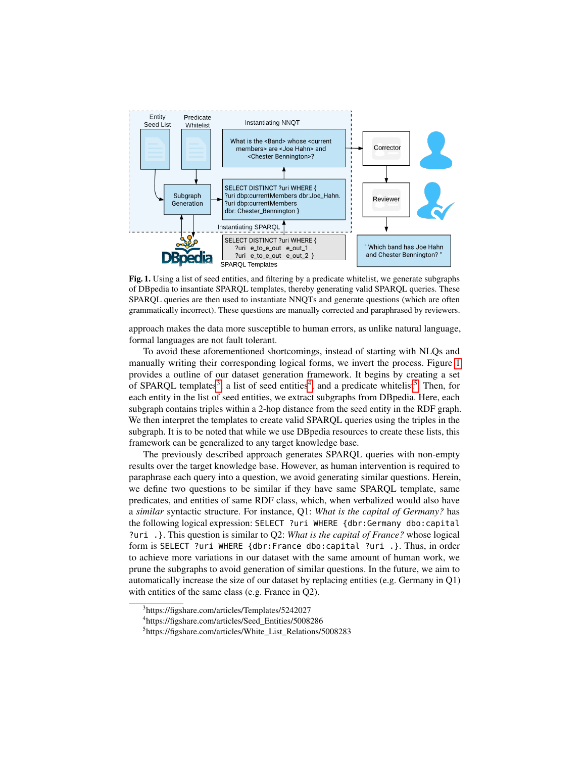

<span id="page-3-0"></span>Fig. 1. Using a list of seed entities, and filtering by a predicate whitelist, we generate subgraphs of DBpedia to insantiate SPARQL templates, thereby generating valid SPARQL queries. These SPARQL queries are then used to instantiate NNQTs and generate questions (which are often grammatically incorrect). These questions are manually corrected and paraphrased by reviewers.

approach makes the data more susceptible to human errors, as unlike natural language, formal languages are not fault tolerant.

To avoid these aforementioned shortcomings, instead of starting with NLQs and manually writing their corresponding logical forms, we invert the process. Figure [1](#page-3-0) provides a outline of our dataset generation framework. It begins by creating a set of SPARQL templates<sup>[3](#page-0-0)</sup>, a list of seed entities<sup>[4](#page-0-0)</sup>, and a predicate whitelist<sup>[5](#page-0-0)</sup>. Then, for each entity in the list of seed entities, we extract subgraphs from DBpedia. Here, each subgraph contains triples within a 2-hop distance from the seed entity in the RDF graph. We then interpret the templates to create valid SPARQL queries using the triples in the subgraph. It is to be noted that while we use DBpedia resources to create these lists, this framework can be generalized to any target knowledge base.

The previously described approach generates SPARQL queries with non-empty results over the target knowledge base. However, as human intervention is required to paraphrase each query into a question, we avoid generating similar questions. Herein, we define two questions to be similar if they have same SPARQL template, same predicates, and entities of same RDF class, which, when verbalized would also have a *similar* syntactic structure. For instance, Q1: *What is the capital of Germany?* has the following logical expression: SELECT ?uri WHERE {dbr:Germany dbo:capital ?uri .}. This question is similar to Q2: *What is the capital of France?* whose logical form is SELECT ?uri WHERE {dbr:France dbo:capital ?uri .}. Thus, in order to achieve more variations in our dataset with the same amount of human work, we prune the subgraphs to avoid generation of similar questions. In the future, we aim to automatically increase the size of our dataset by replacing entities (e.g. Germany in Q1) with entities of the same class (e.g. France in Q2).

- 4 https://figshare.com/articles/Seed\_Entities/5008286
- 5 https://figshare.com/articles/White\_List\_Relations/5008283

<sup>3</sup> https://figshare.com/articles/Templates/5242027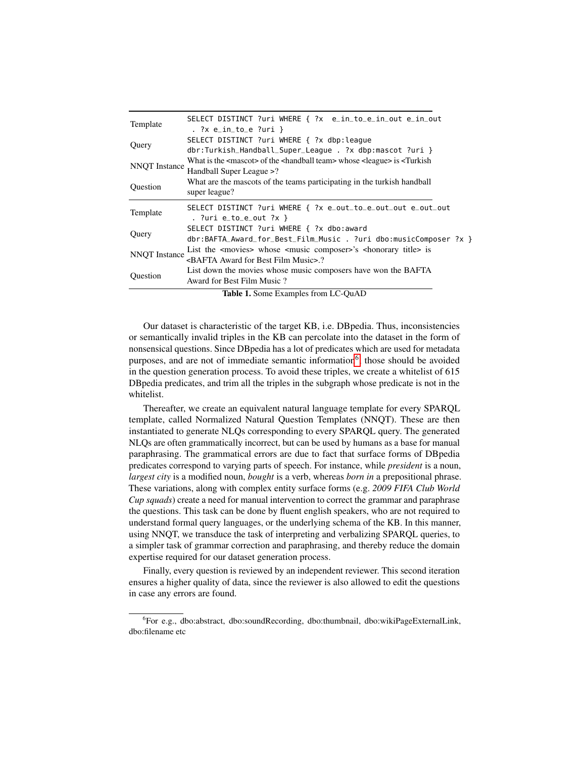| Template                            | SELECT DISTINCT ?uri WHERE { ?x e_in_to_e_in_out e_in_out<br>. ?x e_in_to_e ?uri }                                                                   |  |  |  |  |
|-------------------------------------|------------------------------------------------------------------------------------------------------------------------------------------------------|--|--|--|--|
| Query                               | SELECT DISTINCT ?uri WHERE { ?x dbp: league<br>dbr:Turkish_Handball_Super_League . ?x dbp:mascot ?uri }                                              |  |  |  |  |
| <b>NNQT</b> Instance                | What is the <mascot> of the <handball team=""> whose <league> is <turkish<br>Handball Super League &gt;?</turkish<br></league></handball></mascot>   |  |  |  |  |
| Question                            | What are the mascots of the teams participating in the turkish handball<br>super league?                                                             |  |  |  |  |
| Template                            | SELECT DISTINCT ?uri WHERE { ?x e_out_to_e_out_out e_out_out<br>. $?uri$ e_to_e_out $?x$ }                                                           |  |  |  |  |
| Query                               | SELECT DISTINCT ?uri WHERE { ?x dbo:award<br>dbr:BAFTA_Award_for_Best_Film_Music . ?uri dbo:musicComposer ?x }                                       |  |  |  |  |
| <b>NNOT</b> Instance                | List the $\leq$ movies whose $\leq$ music composer $\leq$ is $\leq$ shonorary title is<br><bafta award="" best="" film="" for="" music="">.?</bafta> |  |  |  |  |
| Question                            | List down the movies whose music composers have won the BAFTA<br>Award for Best Film Music?                                                          |  |  |  |  |
| Table 1. Some Examples from LC-QuAD |                                                                                                                                                      |  |  |  |  |

Our dataset is characteristic of the target KB, i.e. DBpedia. Thus, inconsistencies or semantically invalid triples in the KB can percolate into the dataset in the form of nonsensical questions. Since DBpedia has a lot of predicates which are used for metadata purposes, and are not of immediate semantic information<sup>[6](#page-0-0)</sup>, those should be avoided in the question generation process. To avoid these triples, we create a whitelist of 615 DBpedia predicates, and trim all the triples in the subgraph whose predicate is not in the whitelist.

Thereafter, we create an equivalent natural language template for every SPARQL template, called Normalized Natural Question Templates (NNQT). These are then instantiated to generate NLQs corresponding to every SPARQL query. The generated NLQs are often grammatically incorrect, but can be used by humans as a base for manual paraphrasing. The grammatical errors are due to fact that surface forms of DBpedia predicates correspond to varying parts of speech. For instance, while *president* is a noun, *largest city* is a modified noun, *bought* is a verb, whereas *born in* a prepositional phrase. These variations, along with complex entity surface forms (e.g. *2009 FIFA Club World Cup squads*) create a need for manual intervention to correct the grammar and paraphrase the questions. This task can be done by fluent english speakers, who are not required to understand formal query languages, or the underlying schema of the KB. In this manner, using NNQT, we transduce the task of interpreting and verbalizing SPARQL queries, to a simpler task of grammar correction and paraphrasing, and thereby reduce the domain expertise required for our dataset generation process.

Finally, every question is reviewed by an independent reviewer. This second iteration ensures a higher quality of data, since the reviewer is also allowed to edit the questions in case any errors are found.

<sup>&</sup>lt;sup>6</sup>For e.g., dbo:abstract, dbo:soundRecording, dbo:thumbnail, dbo:wikiPageExternalLink, dbo:filename etc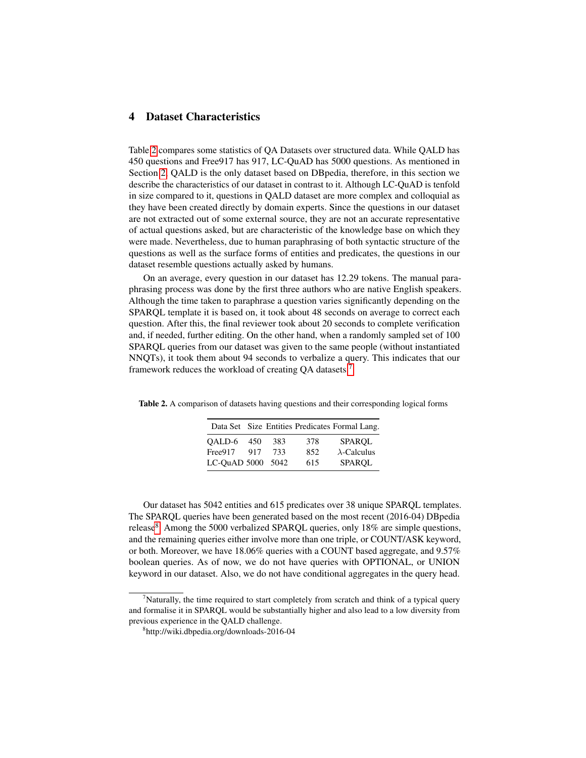# 4 Dataset Characteristics

Table [2](#page-5-0) compares some statistics of QA Datasets over structured data. While QALD has 450 questions and Free917 has 917, LC-QuAD has 5000 questions. As mentioned in Section [2,](#page-1-0) QALD is the only dataset based on DBpedia, therefore, in this section we describe the characteristics of our dataset in contrast to it. Although LC-QuAD is tenfold in size compared to it, questions in QALD dataset are more complex and colloquial as they have been created directly by domain experts. Since the questions in our dataset are not extracted out of some external source, they are not an accurate representative of actual questions asked, but are characteristic of the knowledge base on which they were made. Nevertheless, due to human paraphrasing of both syntactic structure of the questions as well as the surface forms of entities and predicates, the questions in our dataset resemble questions actually asked by humans.

On an average, every question in our dataset has 12.29 tokens. The manual paraphrasing process was done by the first three authors who are native English speakers. Although the time taken to paraphrase a question varies significantly depending on the SPARQL template it is based on, it took about 48 seconds on average to correct each question. After this, the final reviewer took about 20 seconds to complete verification and, if needed, further editing. On the other hand, when a randomly sampled set of 100 SPARQL queries from our dataset was given to the same people (without instantiated NNQTs), it took them about 94 seconds to verbalize a query. This indicates that our framework reduces the workload of creating QA datasets.[7](#page-0-0)

|                   |     |     |     | Data Set Size Entities Predicates Formal Lang. |
|-------------------|-----|-----|-----|------------------------------------------------|
| OALD-6            | 450 | 383 | 378 | <b>SPAROL</b>                                  |
| Free917           | 917 | 733 | 852 | $\lambda$ -Calculus                            |
| LC-OuAD 5000 5042 |     |     | 615 | <b>SPAROL</b>                                  |

<span id="page-5-0"></span>Table 2. A comparison of datasets having questions and their corresponding logical forms

Our dataset has 5042 entities and 615 predicates over 38 unique SPARQL templates. The SPARQL queries have been generated based on the most recent (2016-04) DBpedia release<sup>[8](#page-0-0)</sup>. Among the 5000 verbalized SPARQL queries, only 18% are simple questions, and the remaining queries either involve more than one triple, or COUNT/ASK keyword, or both. Moreover, we have 18.06% queries with a COUNT based aggregate, and 9.57% boolean queries. As of now, we do not have queries with OPTIONAL, or UNION keyword in our dataset. Also, we do not have conditional aggregates in the query head.

 $\alpha$ <sup>7</sup>Naturally, the time required to start completely from scratch and think of a typical query and formalise it in SPARQL would be substantially higher and also lead to a low diversity from previous experience in the QALD challenge.

<sup>8</sup> http://wiki.dbpedia.org/downloads-2016-04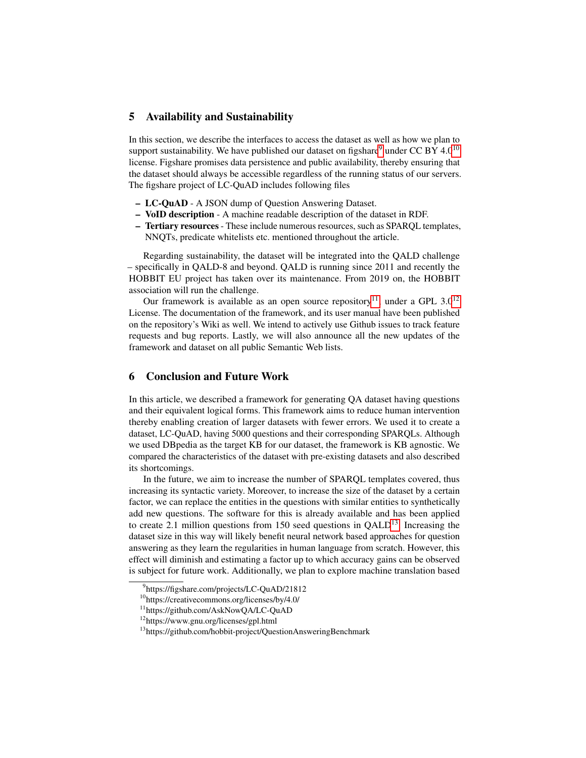# 5 Availability and Sustainability

In this section, we describe the interfaces to access the dataset as well as how we plan to support sustainability. We have published our dataset on figshare<sup>[9](#page-0-0)</sup> under CC BY  $4.0^{10}$  $4.0^{10}$  $4.0^{10}$ license. Figshare promises data persistence and public availability, thereby ensuring that the dataset should always be accessible regardless of the running status of our servers. The figshare project of LC-QuAD includes following files

- LC-QuAD A JSON dump of Question Answering Dataset.
- VoID description A machine readable description of the dataset in RDF.
- Tertiary resources These include numerous resources, such as SPARQL templates, NNQTs, predicate whitelists etc. mentioned throughout the article.

Regarding sustainability, the dataset will be integrated into the QALD challenge – specifically in QALD-8 and beyond. QALD is running since 2011 and recently the HOBBIT EU project has taken over its maintenance. From 2019 on, the HOBBIT association will run the challenge.

Our framework is available as an open source repository<sup>[11](#page-0-0)</sup>, under a GPL  $3.0^{12}$  $3.0^{12}$  $3.0^{12}$ License. The documentation of the framework, and its user manual have been published on the repository's Wiki as well. We intend to actively use Github issues to track feature requests and bug reports. Lastly, we will also announce all the new updates of the framework and dataset on all public Semantic Web lists.

### <span id="page-6-0"></span>6 Conclusion and Future Work

In this article, we described a framework for generating QA dataset having questions and their equivalent logical forms. This framework aims to reduce human intervention thereby enabling creation of larger datasets with fewer errors. We used it to create a dataset, LC-QuAD, having 5000 questions and their corresponding SPARQLs. Although we used DBpedia as the target KB for our dataset, the framework is KB agnostic. We compared the characteristics of the dataset with pre-existing datasets and also described its shortcomings.

In the future, we aim to increase the number of SPARQL templates covered, thus increasing its syntactic variety. Moreover, to increase the size of the dataset by a certain factor, we can replace the entities in the questions with similar entities to synthetically add new questions. The software for this is already available and has been applied to create 2.1 million questions from 150 seed questions in  $QALD<sup>13</sup>$  $QALD<sup>13</sup>$  $QALD<sup>13</sup>$ . Increasing the dataset size in this way will likely benefit neural network based approaches for question answering as they learn the regularities in human language from scratch. However, this effect will diminish and estimating a factor up to which accuracy gains can be observed is subject for future work. Additionally, we plan to explore machine translation based

<sup>9</sup> https://figshare.com/projects/LC-QuAD/21812

<sup>10</sup>https://creativecommons.org/licenses/by/4.0/

<sup>11</sup>https://github.com/AskNowQA/LC-QuAD

<sup>12</sup>https://www.gnu.org/licenses/gpl.html

<sup>&</sup>lt;sup>13</sup>https://github.com/hobbit-project/QuestionAnsweringBenchmark